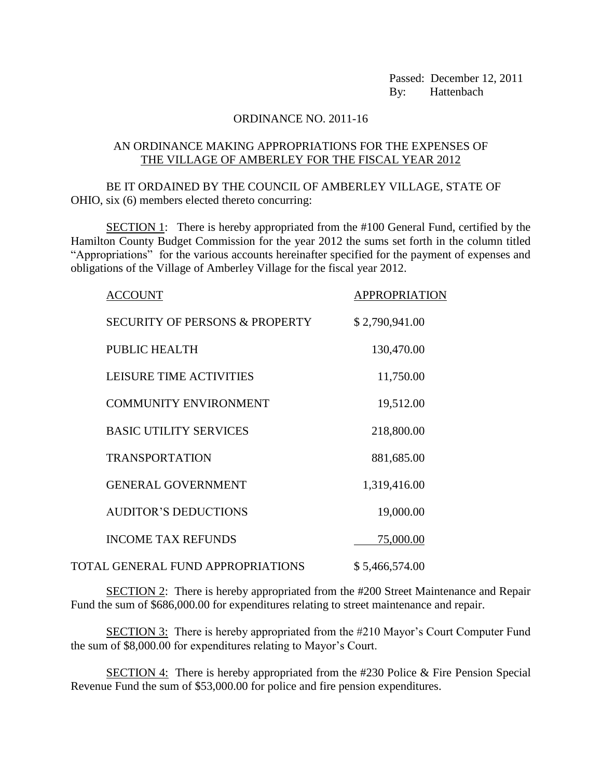Passed: December 12, 2011 By: Hattenbach

## ORDINANCE NO. 2011-16

## AN ORDINANCE MAKING APPROPRIATIONS FOR THE EXPENSES OF THE VILLAGE OF AMBERLEY FOR THE FISCAL YEAR 2012

BE IT ORDAINED BY THE COUNCIL OF AMBERLEY VILLAGE, STATE OF OHIO, six (6) members elected thereto concurring:

SECTION 1: There is hereby appropriated from the #100 General Fund, certified by the Hamilton County Budget Commission for the year 2012 the sums set forth in the column titled "Appropriations" for the various accounts hereinafter specified for the payment of expenses and obligations of the Village of Amberley Village for the fiscal year 2012.

| ACCOUNT                                   | <b>APPROPRIATION</b> |
|-------------------------------------------|----------------------|
| <b>SECURITY OF PERSONS &amp; PROPERTY</b> | \$2,790,941.00       |
| <b>PUBLIC HEALTH</b>                      | 130,470.00           |
| LEISURE TIME ACTIVITIES                   | 11,750.00            |
| <b>COMMUNITY ENVIRONMENT</b>              | 19,512.00            |
| <b>BASIC UTILITY SERVICES</b>             | 218,800.00           |
| <b>TRANSPORTATION</b>                     | 881,685.00           |
| <b>GENERAL GOVERNMENT</b>                 | 1,319,416.00         |
| <b>AUDITOR'S DEDUCTIONS</b>               | 19,000.00            |
| <b>INCOME TAX REFUNDS</b>                 | 75,000.00            |
| <b>TOTAL GENERAL FUND APPROPRIATIONS</b>  | \$5,466,574.00       |

SECTION 2: There is hereby appropriated from the #200 Street Maintenance and Repair Fund the sum of \$686,000.00 for expenditures relating to street maintenance and repair.

SECTION 3: There is hereby appropriated from the #210 Mayor's Court Computer Fund the sum of \$8,000.00 for expenditures relating to Mayor's Court.

SECTION 4: There is hereby appropriated from the #230 Police & Fire Pension Special Revenue Fund the sum of \$53,000.00 for police and fire pension expenditures.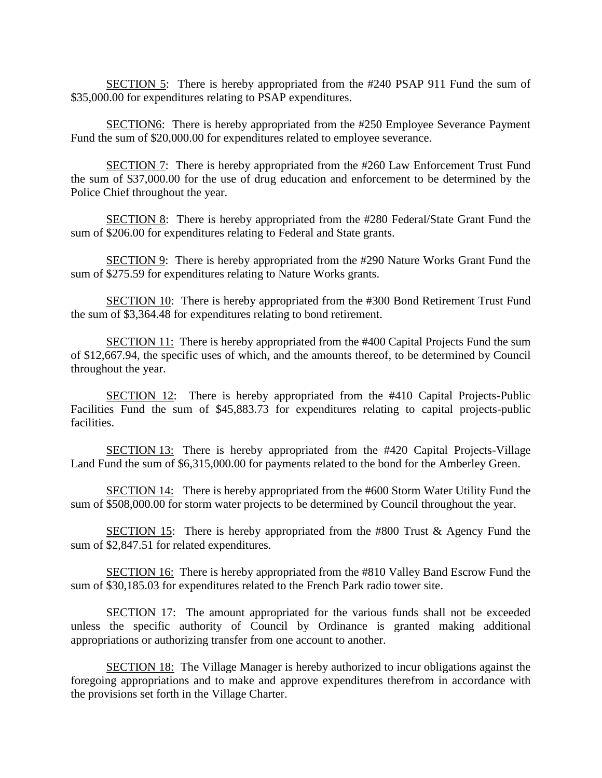SECTION 5: There is hereby appropriated from the #240 PSAP 911 Fund the sum of \$35,000.00 for expenditures relating to PSAP expenditures.

SECTION6: There is hereby appropriated from the #250 Employee Severance Payment Fund the sum of \$20,000.00 for expenditures related to employee severance.

SECTION 7: There is hereby appropriated from the #260 Law Enforcement Trust Fund the sum of \$37,000.00 for the use of drug education and enforcement to be determined by the Police Chief throughout the year.

SECTION 8: There is hereby appropriated from the #280 Federal/State Grant Fund the sum of \$206.00 for expenditures relating to Federal and State grants.

SECTION 9: There is hereby appropriated from the #290 Nature Works Grant Fund the sum of \$275.59 for expenditures relating to Nature Works grants.

SECTION 10: There is hereby appropriated from the #300 Bond Retirement Trust Fund the sum of \$3,364.48 for expenditures relating to bond retirement.

SECTION 11: There is hereby appropriated from the #400 Capital Projects Fund the sum of \$12,667.94, the specific uses of which, and the amounts thereof, to be determined by Council throughout the year.

SECTION 12: There is hereby appropriated from the #410 Capital Projects-Public Facilities Fund the sum of \$45,883.73 for expenditures relating to capital projects-public facilities.

SECTION 13: There is hereby appropriated from the #420 Capital Projects-Village Land Fund the sum of \$6,315,000.00 for payments related to the bond for the Amberley Green.

SECTION 14: There is hereby appropriated from the #600 Storm Water Utility Fund the sum of \$508,000.00 for storm water projects to be determined by Council throughout the year.

SECTION 15: There is hereby appropriated from the #800 Trust & Agency Fund the sum of \$2,847.51 for related expenditures.

SECTION 16: There is hereby appropriated from the #810 Valley Band Escrow Fund the sum of \$30,185.03 for expenditures related to the French Park radio tower site.

SECTION 17: The amount appropriated for the various funds shall not be exceeded unless the specific authority of Council by Ordinance is granted making additional appropriations or authorizing transfer from one account to another.

SECTION 18: The Village Manager is hereby authorized to incur obligations against the foregoing appropriations and to make and approve expenditures therefrom in accordance with the provisions set forth in the Village Charter.